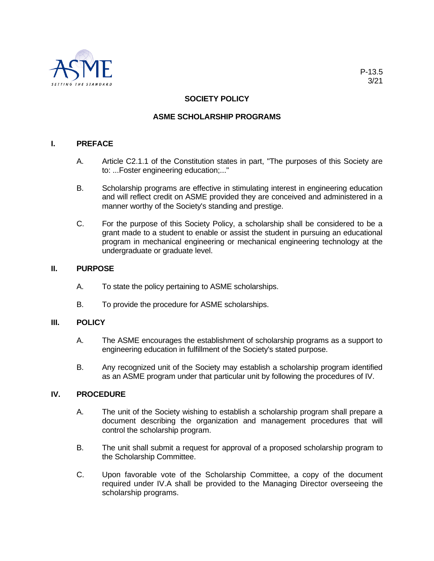

# **SOCIETY POLICY**

## **ASME SCHOLARSHIP PROGRAMS**

### **I. PREFACE**

- A. Article C2.1.1 of the Constitution states in part, "The purposes of this Society are to: ...Foster engineering education;..."
- B. Scholarship programs are effective in stimulating interest in engineering education and will reflect credit on ASME provided they are conceived and administered in a manner worthy of the Society's standing and prestige.
- C. For the purpose of this Society Policy, a scholarship shall be considered to be a grant made to a student to enable or assist the student in pursuing an educational program in mechanical engineering or mechanical engineering technology at the undergraduate or graduate level.

### **II. PURPOSE**

- A. To state the policy pertaining to ASME scholarships.
- B. To provide the procedure for ASME scholarships.

#### **III. POLICY**

- A. The ASME encourages the establishment of scholarship programs as a support to engineering education in fulfillment of the Society's stated purpose.
- B. Any recognized unit of the Society may establish a scholarship program identified as an ASME program under that particular unit by following the procedures of IV.

#### **IV. PROCEDURE**

- A. The unit of the Society wishing to establish a scholarship program shall prepare a document describing the organization and management procedures that will control the scholarship program.
- B. The unit shall submit a request for approval of a proposed scholarship program to the Scholarship Committee.
- C. Upon favorable vote of the Scholarship Committee, a copy of the document required under IV.A shall be provided to the Managing Director overseeing the scholarship programs.